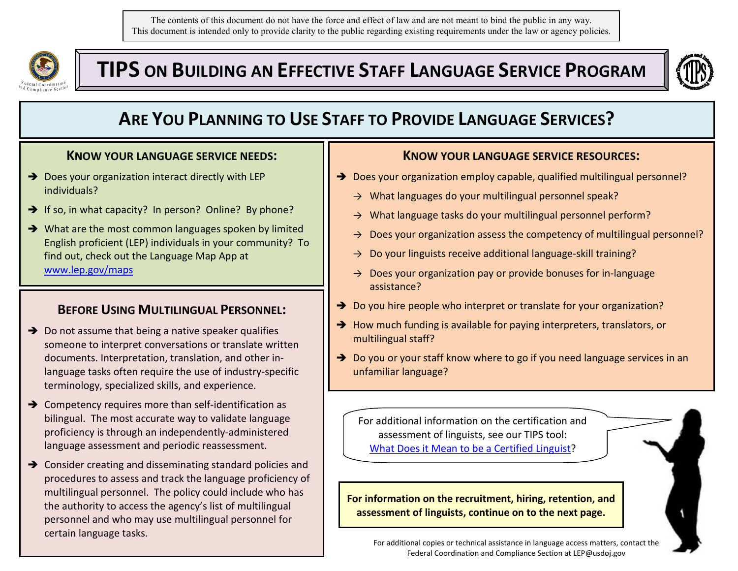The contents of this document do not have the force and effect of law and are not meant to bind the public in any way. This document is intended only to provide clarity to the public regarding existing requirements under the law or agency policies.



**TIPS ON BUILDING AN EFFECTIVE STAFF LANGUAGE SERVICE PROGRAM**



# **ARE YOU PLANNING TO USE STAFF TO PROVIDE LANGUAGE SERVICES?**

#### **KNOW YOUR LANGUAGE SERVICE NEEDS:**

- $\rightarrow$  Does your organization interact directly with LEP individuals?
- $\rightarrow$  If so, in what capacity? In person? Online? By phone?
- → What are the most common languages spoken by limited English proficient (LEP) individuals in your community? To find out, check out the Language Map App at [www.lep.gov/maps](http://www.lep.gov/maps)

## **BEFORE USING MULTILINGUAL PERSONNEL:**

- $\rightarrow$  Do not assume that being a native speaker qualifies someone to interpret conversations or translate written documents. Interpretation, translation, and other inlanguage tasks often require the use of industry-specific terminology, specialized skills, and experience.
- $\rightarrow$  Competency requires more than self-identification as bilingual. The most accurate way to validate language proficiency is through an independently-administered language assessment and periodic reassessment.
- → Consider creating and disseminating standard policies and procedures to assess and track the language proficiency of multilingual personnel. The policy could include who has the authority to access the agency's list of multilingual personnel and who may use multilingual personnel for certain language tasks.

### **KNOW YOUR LANGUAGE SERVICE RESOURCES:**

- → Does your organization employ capable, qualified multilingual personnel?
	- → What languages do your multilingual personnel speak?
	- $\rightarrow$  What language tasks do your multilingual personnel perform?
	- $\rightarrow$  Does your organization assess the competency of multilingual personnel?
	- $\rightarrow$  Do your linguists receive additional language-skill training?
	- $\rightarrow$  Does your organization pay or provide bonuses for in-language assistance?
- → Do you hire people who interpret or translate for your organization?
- $\rightarrow$  How much funding is available for paying interpreters, translators, or multilingual staff?
- $\rightarrow$  Do you or your staff know where to go if you need language services in an unfamiliar language?

For additional information on the certification and assessment of linguists, see our TIPS tool: [What Does it Mean to be a Certified Linguist?](http://www.lep.gov/resources/TRUST%20ME%20I)

**For information on the recruitment, hiring, retention, and assessment of linguists, continue on to the next page.**

For additional copies or technical assistance in language access matters, contact the Federal Coordination and Compliance Section at LEP@usdoj.gov